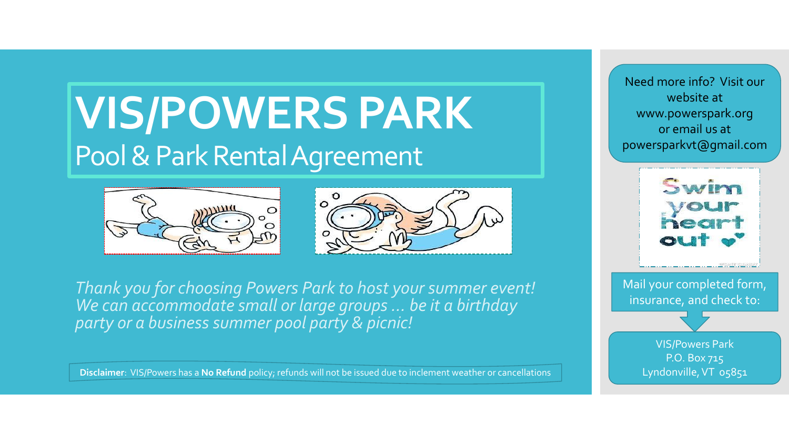## **VIS/POWERS PARK**  Pool & Park Rental Agreement





*Thank you for choosing Powers Park to host your summer event! We can accommodate small or large groups … be it a birthday party or a business summer pool party & picnic!*

**Disclaimer**: VIS/Powers has a **No Refund** policy; refunds will not be issued due to inclement weather or cancellations

Need more info? Visit our website at www.powerspark.org or email us at powersparkvt@gmail.com



Mail your completed form, insurance, and check to:

> VIS/Powers Park P.O. Box 715 Lyndonville, VT 05851